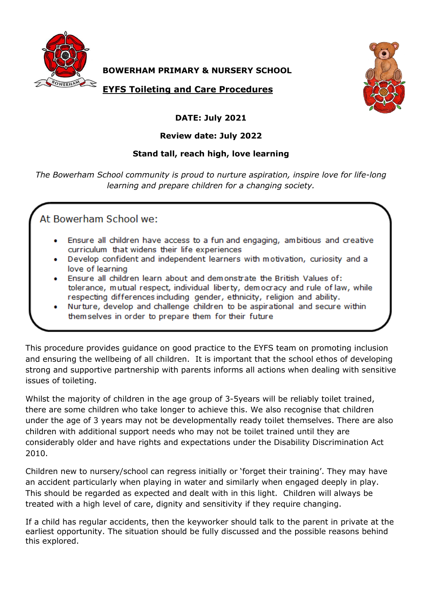

**BOWERHAM PRIMARY & NURSERY SCHOOL**

**EYFS Toileting and Care Procedures**



## **DATE: July 2021**

## **Review date: July 2022**

## **Stand tall, reach high, love learning**

*The Bowerham School community is proud to nurture aspiration, inspire love for life-long learning and prepare children for a changing society.*

At Bowerham School we:

- Ensure all children have access to a fun and engaging, ambitious and creative curriculum that widens their life experiences
- Develop confident and independent learners with motivation, curiosity and a love of learning
- Ensure all children learn about and demonstrate the British Values of: tolerance, mutual respect, individual liberty, democracy and rule of law, while respecting differences including gender, ethnicity, religion and ability.
- Nurture, develop and challenge children to be aspirational and secure within themselves in order to prepare them for their future

This procedure provides guidance on good practice to the EYFS team on promoting inclusion and ensuring the wellbeing of all children. It is important that the school ethos of developing strong and supportive partnership with parents informs all actions when dealing with sensitive issues of toileting.

Whilst the majority of children in the age group of 3-5years will be reliably toilet trained, there are some children who take longer to achieve this. We also recognise that children under the age of 3 years may not be developmentally ready toilet themselves. There are also children with additional support needs who may not be toilet trained until they are considerably older and have rights and expectations under the Disability Discrimination Act 2010.

Children new to nursery/school can regress initially or 'forget their training'. They may have an accident particularly when playing in water and similarly when engaged deeply in play. This should be regarded as expected and dealt with in this light. Children will always be treated with a high level of care, dignity and sensitivity if they require changing.

If a child has regular accidents, then the keyworker should talk to the parent in private at the earliest opportunity. The situation should be fully discussed and the possible reasons behind this explored.